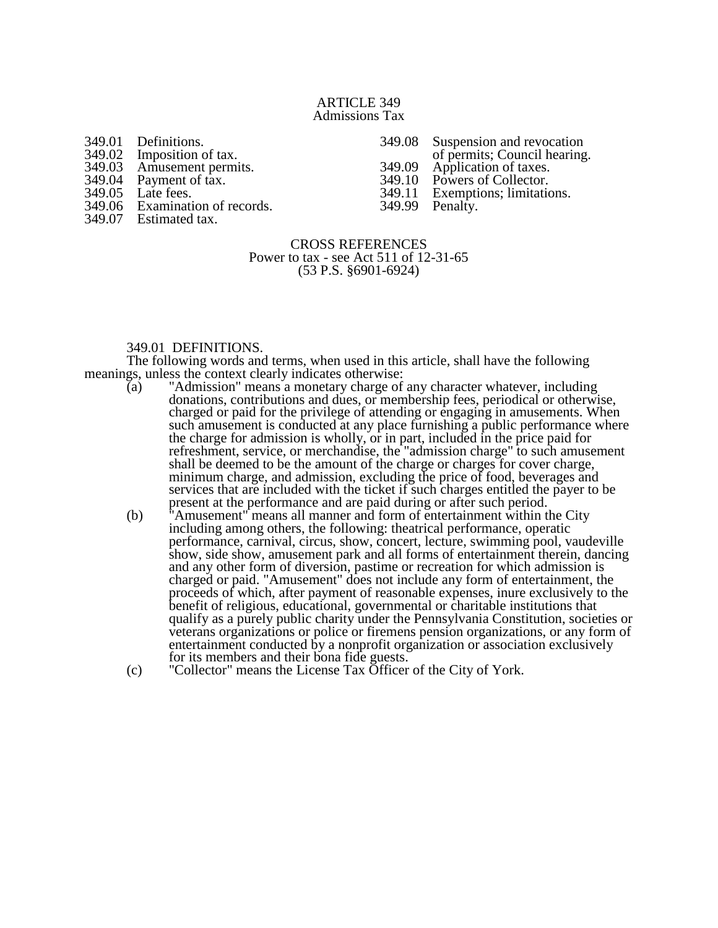#### ARTICLE 349 Admissions Tax

| 349.01 | Definitions.            |
|--------|-------------------------|
| 349.02 | Imposition of tax.      |
| 349.03 | Amusement permits.      |
| 349.04 | Payment of tax.         |
| 349.05 | Late fees.              |
| 349.06 | Examination of records. |
| 349.07 | Estimated tax.          |

349.08 Suspension and revocation 349.09 Application of taxes.<br>349.10 Powers of Collector. 349.10 Powers of Collector.<br>349.11 Exemptions; limitation

Exemptions; limitations.<br>Penalty. 349.99

of permits; Council hearing.

#### CROSS REFERENCES Power to tax - see Act 511 of 12-31-65 (53 P.S. §6901-6924)

# 349.01 DEFINITIONS.

The following words and terms, when used in this article, shall have the following meanings, unless the context clearly indicates otherwise:<br>(a) "Admission" means a monetary charge of

- "Admission" means a monetary charge of any character whatever, including donations, contributions and dues, or membership fees, periodical or otherwise, charged or paid for the privilege of attending or engaging in amusements. When such amusement is conducted at any place furnishing a public performance where the charge for admission is wholly, or in part, included in the price paid for refreshment, service, or merchandise, the "admission charge" to such amusement shall be deemed to be the amount of the charge or charges for cover charge, minimum charge, and admission, excluding the price of food, beverages and services that are included with the ticket if such charges entitled the payer to be present at the performance and are paid during or after such period.
- (b) "Amusement" means all manner and form of entertainment within the City including among others, the following: theatrical performance, operatic performance, carnival, circus, show, concert, lecture, swimming pool, vaudeville show, side show, amusement park and all forms of entertainment therein, dancing and any other form of diversion, pastime or recreation for which admission is charged or paid. "Amusement" does not include any form of entertainment, the proceeds of which, after payment of reasonable expenses, inure exclusively to the benefit of religious, educational, governmental or charitable institutions that qualify as a purely public charity under the Pennsylvania Constitution, societies or veterans organizations or police or firemens pension organizations, or any form of entertainment conducted by a nonprofit organization or association exclusively for its members and their bona fide guests.
- (c) "Collector" means the License Tax Officer of the City of York.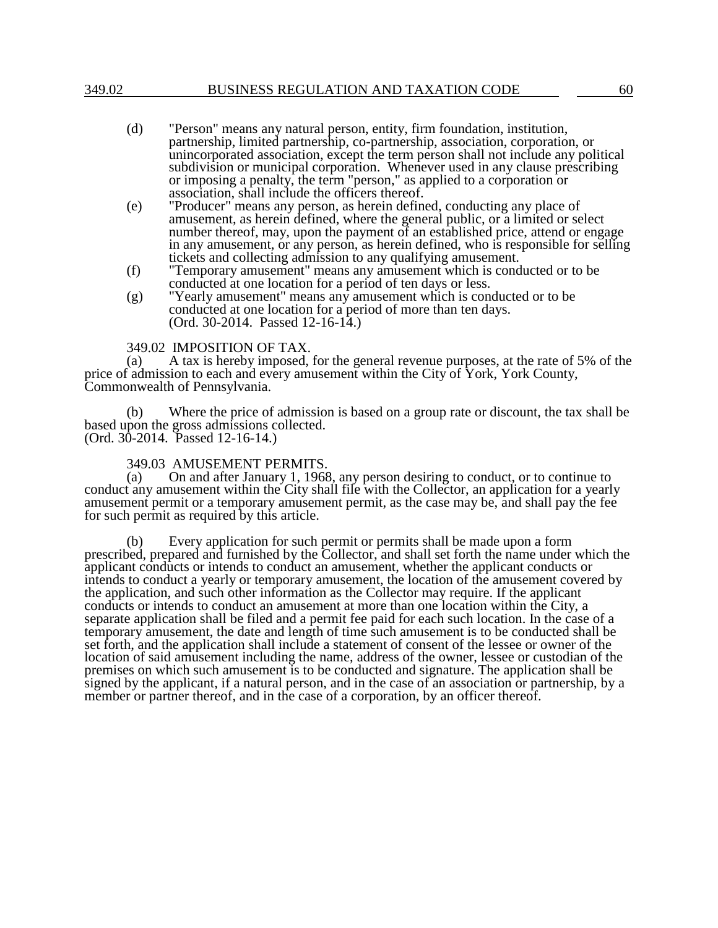- (d) "Person" means any natural person, entity, firm foundation, institution, partnership, limited partnership, co-partnership, association, corporation, or unincorporated association, except the term person shall not include any political subdivision or municipal corporation. Whenever used in any clause prescribing or imposing a penalty, the term "person," as applied to a corporation or association, shall include the officers thereof.
- (e) "Producer" means any person, as herein defined, conducting any place of amusement, as herein defined, where the general public, or a limited or select number thereof, may, upon the payment of an established price, attend or engage in any amusement, or any person, as herein defined, who is responsible for selling tickets and collecting admission to any qualifying amusement.
- (f) "Temporary amusement" means any amusement which is conducted or to be conducted at one location for a period of ten days or less.
- (g) "Yearly amusement" means any amusement which is conducted or to be conducted at one location for a period of more than ten days. (Ord. 30-2014. Passed 12-16-14.)

#### 349.02 IMPOSITION OF TAX.

(a) A tax is hereby imposed, for the general revenue purposes, at the rate of 5% of the price of admission to each and every amusement within the City of York, York County, Commonwealth of Pennsylvania.

(b) Where the price of admission is based on a group rate or discount, the tax shall be based upon the gross admissions collected. (Ord. 30-2014. Passed 12-16-14.)

#### 349.03 AMUSEMENT PERMITS.

(a) On and after January 1, 1968, any person desiring to conduct, or to continue to conduct any amusement within the City shall file with the Collector, an application for a yearly amusement permit or a temporary amusement permit, as the case may be, and shall pay the fee for such permit as required by this article.

Every application for such permit or permits shall be made upon a form prescribed, prepared and furnished by the Collector, and shall set forth the name under which the applicant conducts or intends to conduct an amusement, whether the applicant conducts or intends to conduct a yearly or temporary amusement, the location of the amusement covered by the application, and such other information as the Collector may require. If the applicant conducts or intends to conduct an amusement at more than one location within the City, a separate application shall be filed and a permit fee paid for each such location. In the case of a temporary amusement, the date and length of time such amusement is to be conducted shall be set forth, and the application shall include a statement of consent of the lessee or owner of the location of said amusement including the name, address of the owner, lessee or custodian of the premises on which such amusement is to be conducted and signature. The application shall be signed by the applicant, if a natural person, and in the case of an association or partnership, by a member or partner thereof, and in the case of a corporation, by an officer thereof.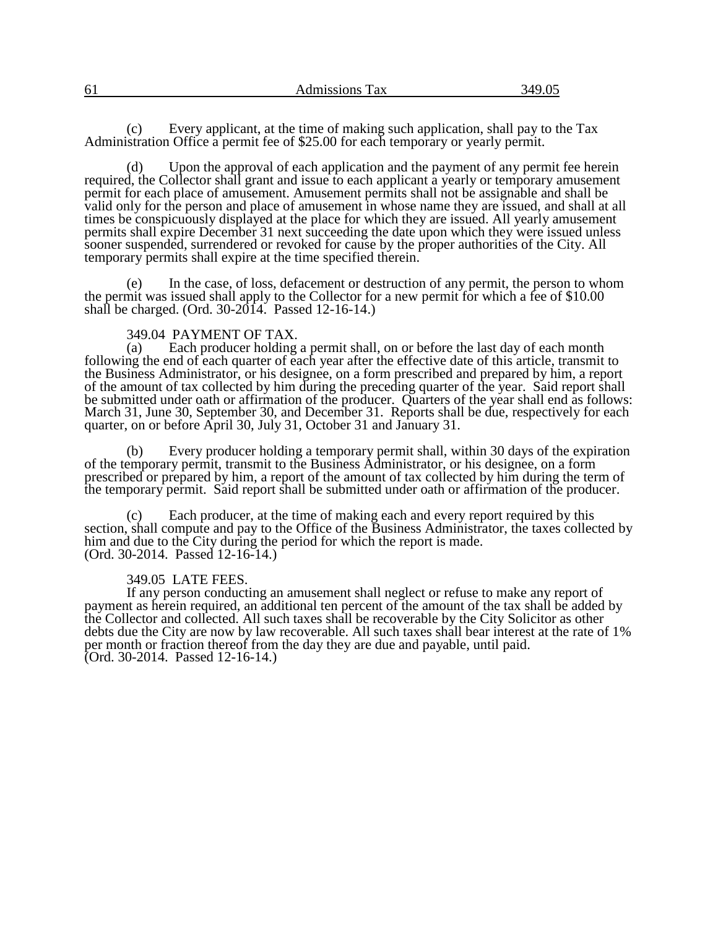| 61 | Admissions<br>Tax | $\Lambda$ ( )<br>$\sim$ |
|----|-------------------|-------------------------|
|    |                   |                         |

(c) Every applicant, at the time of making such application, shall pay to the Tax Administration Office a permit fee of \$25.00 for each temporary or yearly permit.

(d) Upon the approval of each application and the payment of any permit fee herein required, the Collector shall grant and issue to each applicant a yearly or temporary amusement permit for each place of amusement. Amusement permits shall not be assignable and shall be valid only for the person and place of amusement in whose name they are issued, and shall at all times be conspicuously displayed at the place for which they are issued. All yearly amusement permits shall expire December 31 next succeeding the date upon which they were issued unless sooner suspended, surrendered or revoked for cause by the proper authorities of the City. All temporary permits shall expire at the time specified therein.

(e) In the case, of loss, defacement or destruction of any permit, the person to whom the permit was issued shall apply to the Collector for a new permit for which a fee of \$10.00 shall be charged. (Ord. 30-2014. Passed 12-16-14.)

# 349.04 PAYMENT OF TAX.<br>(a) Each producer holding

Each producer holding a permit shall, on or before the last day of each month following the end of each quarter of each year after the effective date of this article, transmit to the Business Administrator, or his designee, on a form prescribed and prepared by him, a report of the amount of tax collected by him during the preceding quarter of the year. Said report shall be submitted under oath or affirmation of the producer. Quarters of the year shall end as follows: March 31, June 30, September 30, and December 31. Reports shall be due, respectively for each quarter, on or before April 30, July 31, October 31 and January 31.

(b) Every producer holding a temporary permit shall, within 30 days of the expiration of the temporary permit, transmit to the Business Administrator, or his designee, on a form prescribed or prepared by him, a report of the amount of tax collected by him during the term of the temporary permit. Said report shall be submitted under oath or affirmation of the producer.

Each producer, at the time of making each and every report required by this section, shall compute and pay to the Office of the Business Administrator, the taxes collected by him and due to the City during the period for which the report is made. (Ord. 30-2014. Passed 12-16-14.)

# 349.05 LATE FEES.

If any person conducting an amusement shall neglect or refuse to make any report of payment as herein required, an additional ten percent of the amount of the tax shall be added by the Collector and collected. All such taxes shall be recoverable by the City Solicitor as other debts due the City are now by law recoverable. All such taxes shall bear interest at the rate of 1% per month or fraction thereof from the day they are due and payable, until paid. (Ord. 30-2014. Passed 12-16-14.)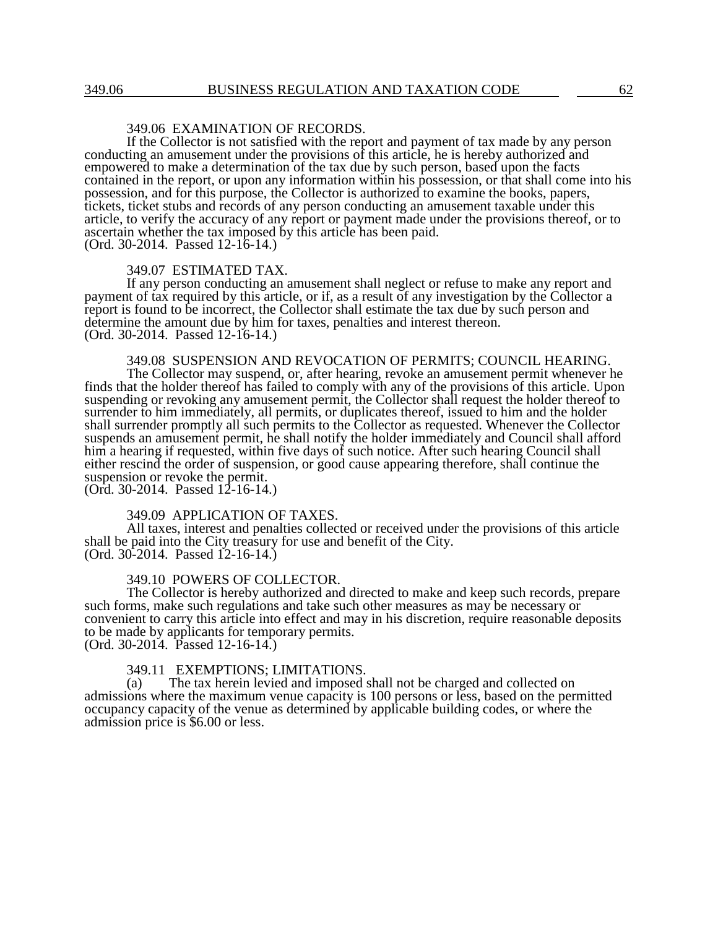# 349.06 EXAMINATION OF RECORDS.

If the Collector is not satisfied with the report and payment of tax made by any person conducting an amusement under the provisions of this article, he is hereby authorized and empowered to make a determination of the tax due by such person, based upon the facts contained in the report, or upon any information within his possession, or that shall come into his possession, and for this purpose, the Collector is authorized to examine the books, papers, tickets, ticket stubs and records of any person conducting an amusement taxable under this article, to verify the accuracy of any report or payment made under the provisions thereof, or to ascertain whether the tax imposed by this article has been paid. (Ord. 30-2014. Passed 12-16-14.)

#### 349.07 ESTIMATED TAX.

If any person conducting an amusement shall neglect or refuse to make any report and payment of tax required by this article, or if, as a result of any investigation by the Collector a report is found to be incorrect, the Collector shall estimate the tax due by such person and determine the amount due by him for taxes, penalties and interest thereon. (Ord. 30-2014. Passed 12-16-14.)

# 349.08 SUSPENSION AND REVOCATION OF PERMITS; COUNCIL HEARING.

The Collector may suspend, or, after hearing, revoke an amusement permit whenever he finds that the holder thereof has failed to comply with any of the provisions of this article. Upon suspending or revoking any amusement permit, the Collector shall request the holder thereof to surrender to him immediately, all permits, or duplicates thereof, issued to him and the holder shall surrender promptly all such permits to the Collector as requested. Whenever the Collector suspends an amusement permit, he shall notify the holder immediately and Council shall afford him a hearing if requested, within five days of such notice. After such hearing Council shall either rescind the order of suspension, or good cause appearing therefore, shall continue the suspension or revoke the permit.

(Ord. 30-2014. Passed 12-16-14.)

#### 349.09 APPLICATION OF TAXES.

All taxes, interest and penalties collected or received under the provisions of this article shall be paid into the City treasury for use and benefit of the City. (Ord. 30-2014. Passed 12-16-14.)

# 349.10 POWERS OF COLLECTOR.

The Collector is hereby authorized and directed to make and keep such records, prepare such forms, make such regulations and take such other measures as may be necessary or convenient to carry this article into effect and may in his discretion, require reasonable deposits to be made by applicants for temporary permits.

(Ord. 30-2014. Passed 12-16-14.)

# 349.11 EXEMPTIONS; LIMITATIONS.

(a) The tax herein levied and imposed shall not be charged and collected on admissions where the maximum venue capacity is 100 persons or less, based on the permitted occupancy capacity of the venue as determined by applicable building codes, or where the admission price is \$6.00 or less.